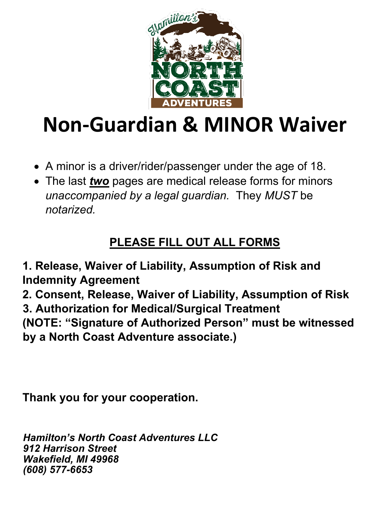

# **Non-Guardian & MINOR Waiver**

- A minor is a driver/rider/passenger under the age of 18.
- The last *two* pages are medical release forms for minors *unaccompanied by a legal guardian.* They *MUST* be *notarized.*

## **PLEASE FILL OUT ALL FORMS**

**1. Release, Waiver of Liability, Assumption of Risk and Indemnity Agreement**

**2. Consent, Release, Waiver of Liability, Assumption of Risk 3. Authorization for Medical/Surgical Treatment (NOTE: "Signature of Authorized Person" must be witnessed by a North Coast Adventure associate.)**

**Thank you for your cooperation.** 

*Hamilton's North Coast Adventures LLC 912 Harrison Street Wakefield, MI 49968 (608) 577-6653*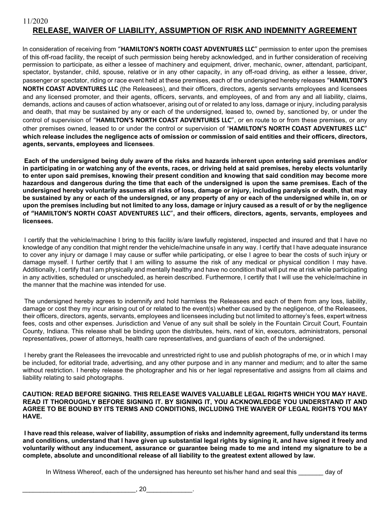In consideration of receiving from "**HAMILTON'S NORTH COAST ADVENTURES LLC**" permission to enter upon the premises of this off-road facility, the receipt of such permission being hereby acknowledged, and in further consideration of receiving permission to participate, as either a lessee of machinery and equipment, driver, mechanic, owner, attendant, participant, spectator, bystander, child, spouse, relative or in any other capacity, in any off-road driving, as either a lessee, driver, passenger or spectator, riding or race event held at these premises, each of the undersigned hereby releases "**HAMILTON'S** 

**NORTH COAST ADVENTURES LLC** (the Releasees), and their officers, directors, agents servants employees and licensees and any licensed promoter, and their agents, officers, servants, and employees, of and from any and all liability, claims, demands, actions and causes of action whatsoever, arising out of or related to any loss, damage or injury, including paralysis and death, that may be sustained by any or each of the undersigned, leased to, owned by, sanctioned by, or under the control of supervision of "**HAMILTON'S NORTH COAST ADVENTURES LLC**", or en route to or from these premises, or any other premises owned, leased to or under the control or supervision of "**HAMILTON'S NORTH COAST ADVENTURES LLC**" **which release includes the negligence acts of omission or commission of said entities and their officers, directors, agents, servants, employees and licensees**.

**Each of the undersigned being duly aware of the risks and hazards inherent upon entering said premises and/or in participating in or watching any of the events, races, or driving held at said premises, hereby elects voluntarily to enter upon said premises, knowing their present condition and knowing that said condition may become more hazardous and dangerous during the time that each of the undersigned is upon the same premises. Each of the undersigned hereby voluntarily assumes all risks of loss, damage or injury, including paralysis or death, that may be sustained by any or each of the undersigned, or any property of any or each of the undersigned while in, on or upon the premises including but not limited to any loss, damage or injury caused as a result of or by the negligence of "HAMILTON'S NORTH COAST ADVENTURES LLC**"**, and their officers, directors, agents, servants, employees and licensees.** 

I certify that the vehicle/machine I bring to this facility is/are lawfully registered, inspected and insured and that I have no knowledge of any condition that might render the vehicle/machine unsafe in any way. I certify that I have adequate insurance to cover any injury or damage I may cause or suffer while participating, or else I agree to bear the costs of such injury or damage myself. I further certify that I am willing to assume the risk of any medical or physical condition I may have. Additionally, I certify that I am physically and mentally healthy and have no condition that will put me at risk while participating in any activities, scheduled or unscheduled, as herein described. Furthermore, I certify that I will use the vehicle/machine in the manner that the machine was intended for use.

The undersigned hereby agrees to indemnify and hold harmless the Releasees and each of them from any loss, liability, damage or cost they my incur arising out of or related to the event(s) whether caused by the negligence, of the Releasees, their officers, directors, agents, servants, employees and licensees including but not limited to attorney's fees, expert witness fees, costs and other expenses. Jurisdiction and Venue of any suit shall be solely in the Fountain Circuit Court, Fountain County, Indiana. This release shall be binding upon the distributes, heirs, next of kin, executors, administrators, personal representatives, power of attorneys, health care representatives, and guardians of each of the undersigned.

I hereby grant the Releasees the irrevocable and unrestricted right to use and publish photographs of me, or in which I may be included, for editorial trade, advertising, and any other purpose and in any manner and medium; and to alter the same without restriction. I hereby release the photographer and his or her legal representative and assigns from all claims and liability relating to said photographs.

#### **CAUTION: READ BEFORE SIGNING. THIS RELEASE WAIVES VALUABLE LEGAL RIGHTS WHICH YOU MAY HAVE. READ IT THOROUGHLY BEFORE SIGNING IT. BY SIGNING IT, YOU ACKNOWLEDGE YOU UNDERSTAND IT AND AGREE TO BE BOUND BY ITS TERMS AND CONDITIONS, INCLUDING THE WAIVER OF LEGAL RIGHTS YOU MAY HAVE.**

**I have read this release, waiver of liability, assumption of risks and indemnity agreement, fully understand its terms and conditions, understand that I have given up substantial legal rights by signing it, and have signed it freely and voluntarily without any inducement, assurance or guarantee being made to me and intend my signature to be a complete, absolute and unconditional release of all liability to the greatest extent allowed by law.**

In Witness Whereof, each of the undersigned has hereunto set his/her hand and seal this day of

\_\_\_\_\_\_\_\_\_\_\_\_\_\_\_\_\_\_\_\_\_\_\_\_\_\_\_\_\_\_\_\_, 20\_\_\_\_\_\_\_\_\_\_\_\_\_.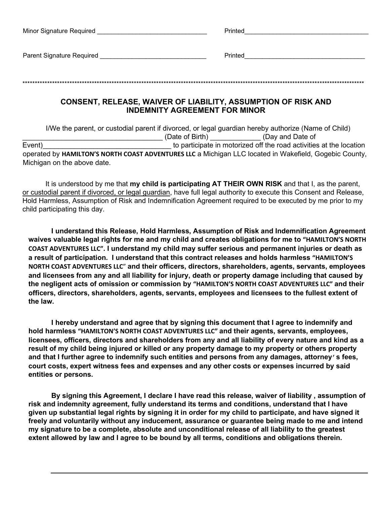| Minor Signature Required  | Printed |
|---------------------------|---------|
|                           |         |
| Parent Signature Required | Printed |
|                           |         |
| ****                      |         |
|                           |         |

## **CONSENT, RELEASE, WAIVER OF LIABILITY, ASSUMPTION OF RISK AND INDEMNITY AGREEMENT FOR MINOR**

I/We the parent, or custodial parent if divorced, or legal guardian hereby authorize (Name of Child) (Date of Birth) (Day and Date of Event) Event is a set of the road activities at the location is to participate in motorized off the road activities at the location operated by **HAMILTON'S NORTH COAST ADVENTURES LLC** a Michigan LLC located in Wakefield, Gogebic County, Michigan on the above date.

It is understood by me that **my child is participating AT THEIR OWN RISK** and that I, as the parent, or custodial parent if divorced, or legal guardian, have full legal authority to execute this Consent and Release, Hold Harmless, Assumption of Risk and Indemnification Agreement required to be executed by me prior to my child participating this day.

**I understand this Release, Hold Harmless, Assumption of Risk and Indemnification Agreement waives valuable legal rights for me and my child and creates obligations for me to "HAMILTON'S NORTH COAST ADVENTURES LLC". I understand my child may suffer serious and permanent injuries or death as a result of participation. I understand that this contract releases and holds harmless "HAMILTON'S NORTH COAST ADVENTURES LLC**" **and their officers, directors, shareholders, agents, servants, employees and licensees from any and all liability for injury, death or property damage including that caused by the negligent acts of omission or commission by "HAMILTON'S NORTH COAST ADVENTURES LLC" and their officers, directors, shareholders, agents, servants, employees and licensees to the fullest extent of the law.** 

**I hereby understand and agree that by signing this document that I agree to indemnify and hold harmless "HAMILTON'S NORTH COAST ADVENTURES LLC" and their agents, servants, employees, licensees, officers, directors and shareholders from any and all liability of every nature and kind as a result of my child being injured or killed or any property damage to my property or others property and that I further agree to indemnify such entities and persons from any damages, attorney's fees, court costs, expert witness fees and expenses and any other costs or expenses incurred by said entities or persons.** 

**By signing this Agreement, I declare I have read this release, waiver of liability , assumption of risk and indemnity agreement, fully understand its terms and conditions, understand that I have given up substantial legal rights by signing it in order for my child to participate, and have signed it freely and voluntarily without any inducement, assurance or guarantee being made to me and intend my signature to be a complete, absolute and unconditional release of all liability to the greatest extent allowed by law and I agree to be bound by all terms, conditions and obligations therein.**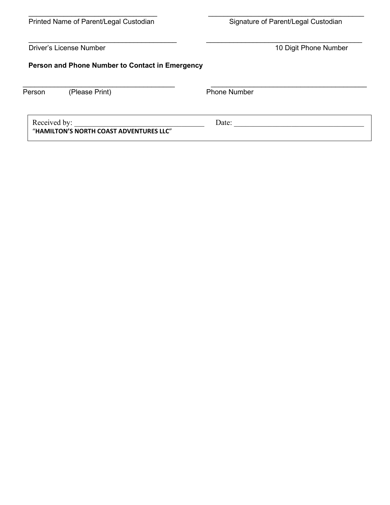| Printed Name of Parent/Legal Custodian | Signature of Parent/Legal Custodian |
|----------------------------------------|-------------------------------------|

Driver's License Number 2012 10 Digit Phone Number

## **Person and Phone Number to Contact in Emergency**

| Person       | (Please Print)                          | <b>Phone Number</b> |  |
|--------------|-----------------------------------------|---------------------|--|
| Received by: | "HAMILTON'S NORTH COAST ADVENTURES LLC" | Date:               |  |

\_\_\_\_\_\_\_\_\_\_\_\_\_\_\_\_\_\_\_\_\_\_\_\_\_\_\_\_\_\_\_\_\_\_\_\_\_\_ \_\_\_\_\_\_\_\_\_\_\_\_\_\_\_\_\_\_\_\_\_\_\_\_\_\_\_\_\_\_\_\_\_\_\_\_\_\_\_\_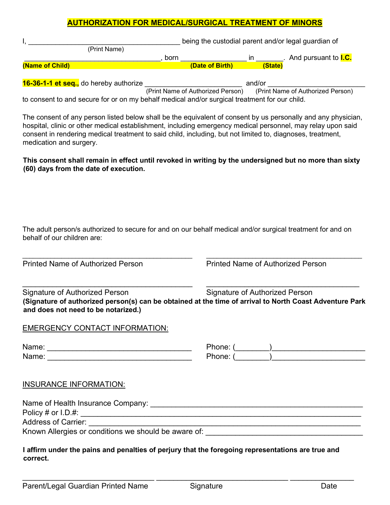## **AUTHORIZATION FOR MEDICAL/SURGICAL TREATMENT OF MINORS**

|                                             |      |                 |            | being the custodial parent and/or legal guardian of |
|---------------------------------------------|------|-----------------|------------|-----------------------------------------------------|
| (Print Name)                                |      |                 |            |                                                     |
|                                             | born |                 |            | And pursuant to <b>I.C.</b>                         |
| (Name of Child)                             |      | (Date of Birth) |            | (State)                                             |
|                                             |      |                 |            |                                                     |
| 40.00.44 st season the model control of the |      |                 | $       -$ |                                                     |

**16-36-1-1 et seq.,** do hereby authorize \_\_\_\_\_\_\_\_\_\_\_\_\_\_\_\_\_\_\_\_\_\_\_\_\_ and/or \_\_\_\_\_\_\_\_\_\_\_\_\_\_\_\_\_\_\_\_\_\_\_\_\_ (Print Name of Authorized Person) to consent to and secure for or on my behalf medical and/or surgical treatment for our child.

The consent of any person listed below shall be the equivalent of consent by us personally and any physician, hospital, clinic or other medical establishment, including emergency medical personnel, may relay upon said consent in rendering medical treatment to said child, including, but not limited to, diagnoses, treatment, medication and surgery.

**This consent shall remain in effect until revoked in writing by the undersigned but no more than sixty (60) days from the date of execution.** 

The adult person/s authorized to secure for and on our behalf medical and/or surgical treatment for and on behalf of our children are:

\_\_\_\_\_\_\_\_\_\_\_\_\_\_\_\_\_\_\_\_\_\_\_\_\_\_\_\_\_\_\_\_\_\_\_\_\_\_\_\_\_\_\_\_\_\_\_\_ \_\_\_\_\_\_\_\_\_\_\_\_\_\_\_\_\_\_\_\_\_\_\_\_\_\_\_\_\_\_\_\_\_\_\_\_\_\_\_\_\_\_\_\_

Printed Name of Authorized Person Printed Name of Authorized Person

Signature of Authorized Person Signature of Authorized Person **(Signature of authorized person(s) can be obtained at the time of arrival to North Coast Adventure Park and does not need to be notarized.)** 

\_\_\_\_\_\_\_\_\_\_\_\_\_\_\_\_\_\_\_\_\_\_\_\_\_\_\_\_\_\_\_\_\_\_\_\_\_\_\_\_ \_\_\_\_\_\_\_\_\_\_\_\_\_\_\_\_\_\_\_\_\_\_\_\_\_\_\_\_\_\_\_\_\_\_\_\_

## EMERGENCY CONTACT INFORMATION:

| Name: | Phone: |
|-------|--------|
| Name: | Phone: |

| Phone: |  |
|--------|--|
| Phone: |  |

## INSURANCE INFORMATION:

| Name of Health Insurance Company:                    |  |
|------------------------------------------------------|--|
| Policy # or $I.D.$ #:                                |  |
| <b>Address of Carrier:</b>                           |  |
| Known Allergies or conditions we should be aware of: |  |

**I affirm under the pains and penalties of perjury that the foregoing representations are true and correct.** 

\_\_\_\_\_\_\_\_\_\_\_\_\_\_\_\_\_\_\_\_\_\_\_\_\_\_\_\_\_\_\_ \_\_\_\_\_\_\_\_\_\_\_\_\_\_\_\_\_\_\_\_\_\_\_\_\_\_\_\_\_\_\_ \_\_\_\_\_\_\_\_\_\_\_\_\_\_\_